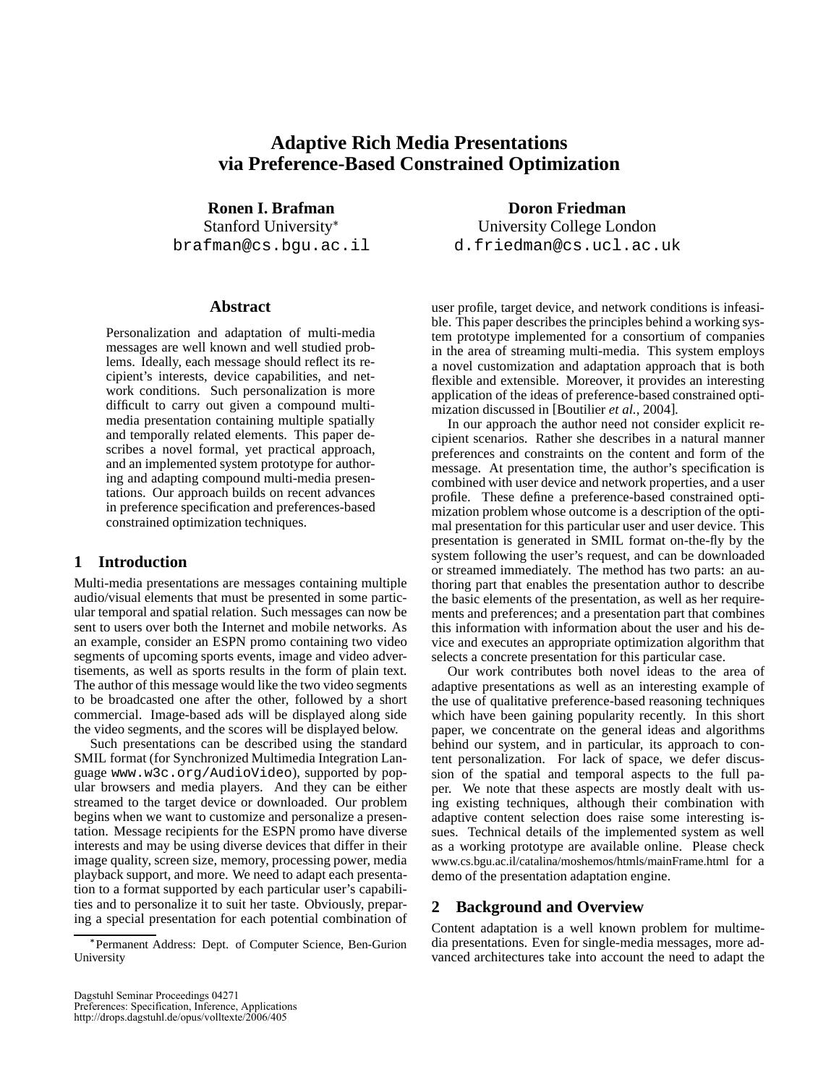# **Adaptive Rich Media Presentations via Preference-Based Constrained Optimization**

**Ronen I. Brafman** Stanford University brafman@cs.bgu.ac.il

#### **Abstract**

Personalization and adaptation of multi-media messages are well known and well studied problems. Ideally, each message should reflect its recipient's interests, device capabilities, and network conditions. Such personalization is more difficult to carry out given a compound multimedia presentation containing multiple spatially and temporally related elements. This paper describes a novel formal, yet practical approach, and an implemented system prototype for authoring and adapting compound multi-media presentations. Our approach builds on recent advances in preference specification and preferences-based constrained optimization techniques.

# **1 Introduction**

Multi-media presentations are messages containing multiple audio/visual elements that must be presented in some particular temporal and spatial relation. Such messages can now be sent to users over both the Internet and mobile networks. As an example, consider an ESPN promo containing two video segments of upcoming sports events, image and video advertisements, as well as sports results in the form of plain text. The author of this message would like the two video segments to be broadcasted one after the other, followed by a short commercial. Image-based ads will be displayed along side the video segments, and the scores will be displayed below.

Such presentations can be described using the standard SMIL format (for Synchronized Multimedia Integration Language www.w3c.org/AudioVideo), supported by popular browsers and media players. And they can be either streamed to the target device or downloaded. Our problem begins when we want to customize and personalize a presentation. Message recipients for the ESPN promo have diverse interests and may be using diverse devices that differ in their image quality, screen size, memory, processing power, media playback support, and more. We need to adapt each presentation to a format supported by each particular user's capabilities and to personalize it to suit her taste. Obviously, preparing a special presentation for each potential combination of

**Doron Friedman** University College London d.friedman@cs.ucl.ac.uk

user profile, target device, and network conditions is infeasible. This paper describes the principles behind a working system prototype implemented for a consortium of companies in the area of streaming multi-media. This system employs a novel customization and adaptation approach that is both flexible and extensible. Moreover, it provides an interesting application of the ideas of preference-based constrained optimization discussed in [Boutilier *et al.*, 2004].

In our approach the author need not consider explicit recipient scenarios. Rather she describes in a natural manner preferences and constraints on the content and form of the message. At presentation time, the author's specification is combined with user device and network properties, and a user profile. These define a preference-based constrained optimization problem whose outcome is a description of the optimal presentation for this particular user and user device. This presentation is generated in SMIL format on-the-fly by the system following the user's request, and can be downloaded or streamed immediately. The method has two parts: an authoring part that enables the presentation author to describe the basic elements of the presentation, as well as her requirements and preferences; and a presentation part that combines this information with information about the user and his device and executes an appropriate optimization algorithm that selects a concrete presentation for this particular case.

Our work contributes both novel ideas to the area of adaptive presentations as well as an interesting example of the use of qualitative preference-based reasoning techniques which have been gaining popularity recently. In this short paper, we concentrate on the general ideas and algorithms behind our system, and in particular, its approach to content personalization. For lack of space, we defer discussion of the spatial and temporal aspects to the full paper. We note that these aspects are mostly dealt with using existing techniques, although their combination with adaptive content selection does raise some interesting issues. Technical details of the implemented system as well as a working prototype are available online. Please check www.cs.bgu.ac.il/catalina/moshemos/htmls/mainFrame.html for a demo of the presentation adaptation engine.

## **2 Background and Overview**

Content adaptation is a well known problem for multimedia presentations. Even for single-media messages, more advanced architectures take into account the need to adapt the

Permanent Address: Dept. of Computer Science, Ben-Gurion University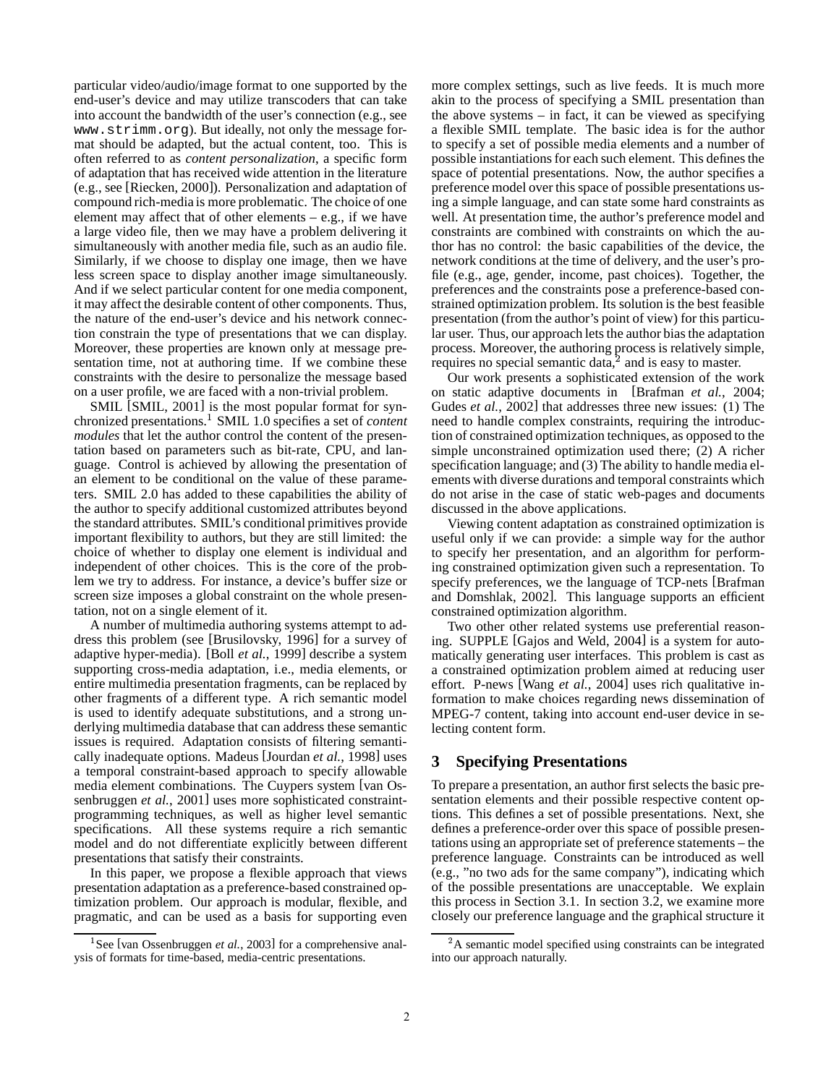particular video/audio/image format to one supported by the end-user's device and may utilize transcoders that can take into account the bandwidth of the user's connection (e.g., see www.strimm.org). But ideally, not only the message format should be adapted, but the actual content, too. This is often referred to as *content personalization*, a specific form of adaptation that has received wide attention in the literature (e.g., see [Riecken, 2000]). Personalization and adaptation of compound rich-media is more problematic. The choice of one element may affect that of other elements  $-$  e.g., if we have a large video file, then we may have a problem delivering it simultaneously with another media file, such as an audio file. Similarly, if we choose to display one image, then we have less screen space to display another image simultaneously. And if we select particular content for one media component, it may affect the desirable content of other components. Thus, the nature of the end-user's device and his network connection constrain the type of presentations that we can display. Moreover, these properties are known only at message presentation time, not at authoring time. If we combine these constraints with the desire to personalize the message based on a user profile, we are faced with a non-trivial problem.

SMIL [SMIL, 2001] is the most popular format for synchronized presentations. SMIL 1.0 specifies a set of *content modules* that let the author control the content of the presentation based on parameters such as bit-rate, CPU, and language. Control is achieved by allowing the presentation of an element to be conditional on the value of these parameters. SMIL 2.0 has added to these capabilities the ability of the author to specify additional customized attributes beyond the standard attributes. SMIL's conditional primitives provide important flexibility to authors, but they are still limited: the choice of whether to display one element is individual and independent of other choices. This is the core of the problem we try to address. For instance, a device's buffer size or screen size imposes a global constraint on the whole presentation, not on a single element of it.

A number of multimedia authoring systems attempt to address this problem (see [Brusilovsky, 1996] for a survey of adaptive hyper-media). [Boll *et al.*, 1999] describe a system supporting cross-media adaptation, i.e., media elements, or entire multimedia presentation fragments, can be replaced by other fragments of a different type. A rich semantic model is used to identify adequate substitutions, and a strong underlying multimedia database that can address these semantic issues is required. Adaptation consists of filtering semantically inadequate options. Madeus [Jourdan *et al.*, 1998] uses a temporal constraint-based approach to specify allowable media element combinations. The Cuypers system [van Ossenbruggen *et al.*, 2001] uses more sophisticated constraintprogramming techniques, as well as higher level semantic specifications. All these systems require a rich semantic model and do not differentiate explicitly between different presentations that satisfy their constraints.

In this paper, we propose a flexible approach that views presentation adaptation as a preference-based constrained optimization problem. Our approach is modular, flexible, and pragmatic, and can be used as a basis for supporting even more complex settings, such as live feeds. It is much more akin to the process of specifying a SMIL presentation than the above systems – in fact, it can be viewed as specifying a flexible SMIL template. The basic idea is for the author to specify a set of possible media elements and a number of possible instantiations for each such element. This defines the space of potential presentations. Now, the author specifies a preference model over this space of possible presentations using a simple language, and can state some hard constraints as well. At presentation time, the author's preference model and constraints are combined with constraints on which the author has no control: the basic capabilities of the device, the network conditions at the time of delivery, and the user's profile (e.g., age, gender, income, past choices). Together, the preferences and the constraints pose a preference-based constrained optimization problem. Its solution is the best feasible presentation (from the author's point of view) for this particular user. Thus, our approach lets the author bias the adaptation process. Moreover, the authoring process is relatively simple, requires no special semantic data, $^2$  and is easy to master.

Our work presents a sophisticated extension of the work on static adaptive documents in [Brafman *et al.*, 2004; Gudes *et al.*, 2002] that addresses three new issues: (1) The need to handle complex constraints, requiring the introduction of constrained optimization techniques, as opposed to the simple unconstrained optimization used there; (2) A richer specification language; and (3) The ability to handle media elements with diverse durations and temporal constraints which do not arise in the case of static web-pages and documents discussed in the above applications.

Viewing content adaptation as constrained optimization is useful only if we can provide: a simple way for the author to specify her presentation, and an algorithm for performing constrained optimization given such a representation. To specify preferences, we the language of TCP-nets [Brafman and Domshlak, 2002]. This language supports an efficient constrained optimization algorithm.

Two other other related systems use preferential reasoning. SUPPLE [Gajos and Weld, 2004] is a system for automatically generating user interfaces. This problem is cast as a constrained optimization problem aimed at reducing user effort. P-news [Wang *et al.*, 2004] uses rich qualitative information to make choices regarding news dissemination of MPEG-7 content, taking into account end-user device in selecting content form.

# **3 Specifying Presentations**

To prepare a presentation, an author first selects the basic presentation elements and their possible respective content options. This defines a set of possible presentations. Next, she defines a preference-order over this space of possible presentations using an appropriate set of preference statements – the preference language. Constraints can be introduced as well (e.g., "no two ads for the same company"), indicating which of the possible presentations are unacceptable. We explain this process in Section 3.1. In section 3.2, we examine more closely our preference language and the graphical structure it

<sup>&</sup>lt;sup>1</sup>See [van Ossenbruggen *et al.*, 2003] for a comprehensive analysis of formats for time-based, media-centric presentations.

 ${}^{2}$ A semantic model specified using constraints can be integrated into our approach naturally.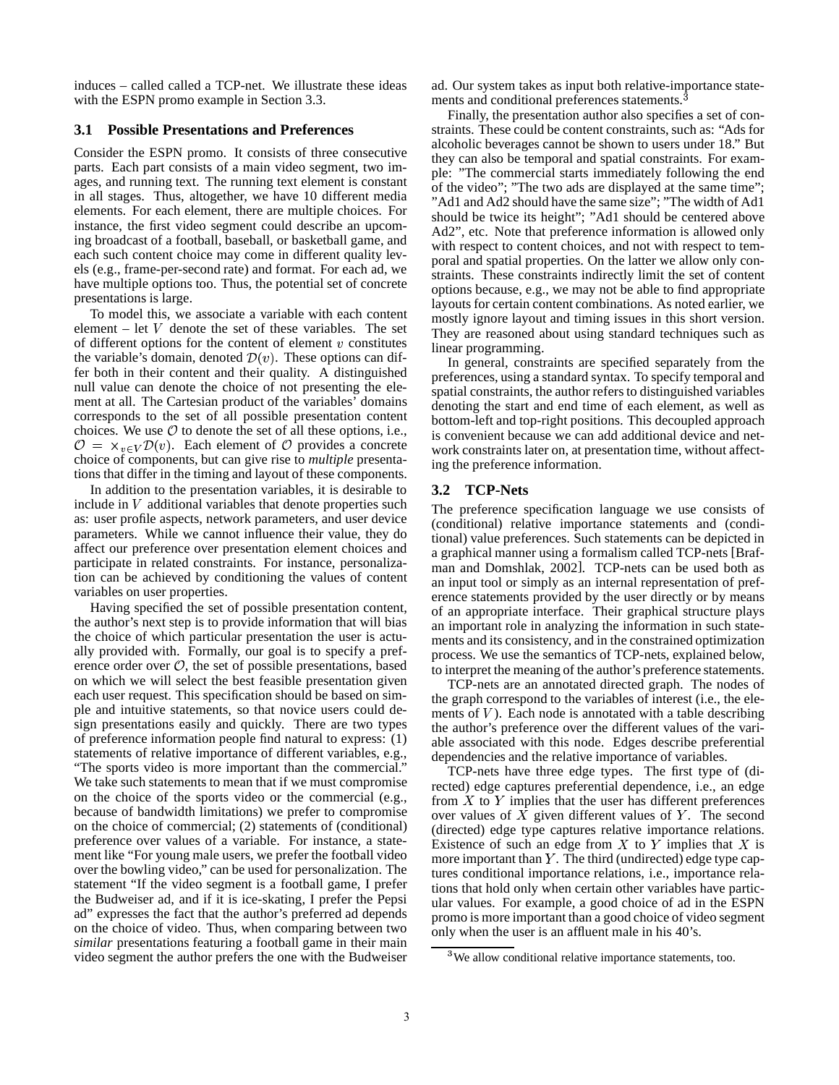induces – called called a TCP-net. We illustrate these ideas with the ESPN promo example in Section 3.3.

#### **3.1 Possible Presentations and Preferences**

Consider the ESPN promo. It consists of three consecutive parts. Each part consists of a main video segment, two images, and running text. The running text element is constant in all stages. Thus, altogether, we have 10 different media elements. For each element, there are multiple choices. For instance, the first video segment could describe an upcoming broadcast of a football, baseball, or basketball game, and each such content choice may come in different quality levels (e.g., frame-per-second rate) and format. For each ad, we have multiple options too. Thus, the potential set of concrete presentations is large.

To model this, we associate a variable with each content element  $-$  let  $V$  denote the set of these variables. The set of different options for the content of element  $v$  constitutes the variable's domain, denoted  $\mathcal{D}(v)$ . These options can differ both in their content and their quality. A distinguished null value can denote the choice of not presenting the element at all. The Cartesian product of the variables' domains corresponds to the set of all possible presentation content choices. We use  $\mathcal O$  to denote the set of all these options, i.e.,  $\mathcal{O} = \times_{v \in V} \mathcal{D}(v)$ . Each element of  $\mathcal O$  provides a concrete choice of components, but can give rise to *multiple* presentations that differ in the timing and layout of these components.

In addition to the presentation variables, it is desirable to include in  $V$  additional variables that denote properties such as: user profile aspects, network parameters, and user device parameters. While we cannot influence their value, they do affect our preference over presentation element choices and participate in related constraints. For instance, personalization can be achieved by conditioning the values of content variables on user properties.

Having specified the set of possible presentation content, the author's next step is to provide information that will bias the choice of which particular presentation the user is actually provided with. Formally, our goal is to specify a preference order over  $\mathcal{O}$ , the set of possible presentations, based on which we will select the best feasible presentation given each user request. This specification should be based on simple and intuitive statements, so that novice users could design presentations easily and quickly. There are two types of preference information people find natural to express: (1) statements of relative importance of different variables, e.g., "The sports video is more important than the commercial." We take such statements to mean that if we must compromise on the choice of the sports video or the commercial (e.g., because of bandwidth limitations) we prefer to compromise on the choice of commercial; (2) statements of (conditional) preference over values of a variable. For instance, a statement like "For young male users, we prefer the football video over the bowling video," can be used for personalization. The statement "If the video segment is a football game, I prefer the Budweiser ad, and if it is ice-skating, I prefer the Pepsi ad" expresses the fact that the author's preferred ad depends on the choice of video. Thus, when comparing between two *similar* presentations featuring a football game in their main video segment the author prefers the one with the Budweiser

ad. Our system takes as input both relative-importance statements and conditional preferences statements.

Finally, the presentation author also specifies a set of constraints. These could be content constraints, such as: "Ads for alcoholic beverages cannot be shown to users under 18." But they can also be temporal and spatial constraints. For example: "The commercial starts immediately following the end of the video"; "The two ads are displayed at the same time"; "Ad1 and Ad2 should have the same size"; "The width of Ad1 should be twice its height"; "Ad1 should be centered above Ad2", etc. Note that preference information is allowed only with respect to content choices, and not with respect to temporal and spatial properties. On the latter we allow only constraints. These constraints indirectly limit the set of content options because, e.g., we may not be able to find appropriate layouts for certain content combinations. As noted earlier, we mostly ignore layout and timing issues in this short version. They are reasoned about using standard techniques such as linear programming.

In general, constraints are specified separately from the preferences, using a standard syntax. To specify temporal and spatial constraints, the author refers to distinguished variables denoting the start and end time of each element, as well as bottom-left and top-right positions. This decoupled approach is convenient because we can add additional device and network constraints later on, at presentation time, without affecting the preference information.

#### **3.2 TCP-Nets**

The preference specification language we use consists of (conditional) relative importance statements and (conditional) value preferences. Such statements can be depicted in a graphical manner using a formalism called TCP-nets [Brafman and Domshlak, 2002]. TCP-nets can be used both as an input tool or simply as an internal representation of preference statements provided by the user directly or by means of an appropriate interface. Their graphical structure plays an important role in analyzing the information in such statements and its consistency, and in the constrained optimization process. We use the semantics of TCP-nets, explained below, to interpret the meaning of the author's preference statements.

TCP-nets are an annotated directed graph. The nodes of the graph correspond to the variables of interest (i.e., the elements of V). Each node is annotated with a table describing the author's preference over the different values of the variable associated with this node. Edges describe preferential dependencies and the relative importance of variables.

TCP-nets have three edge types. The first type of (directed) edge captures preferential dependence, i.e., an edge from  $X$  to  $Y$  implies that the user has different preferences over values of  $X$  given different values of  $Y$ . The second (directed) edge type captures relative importance relations. Existence of such an edge from  $X$  to  $Y$  implies that  $X$  is more important than  $Y$ . The third (undirected) edge type captures conditional importance relations, i.e., importance relations that hold only when certain other variables have particular values. For example, a good choice of ad in the ESPN promo is more important than a good choice of video segment only when the user is an affluent male in his 40's.

<sup>&</sup>lt;sup>3</sup>We allow conditional relative importance statements, too.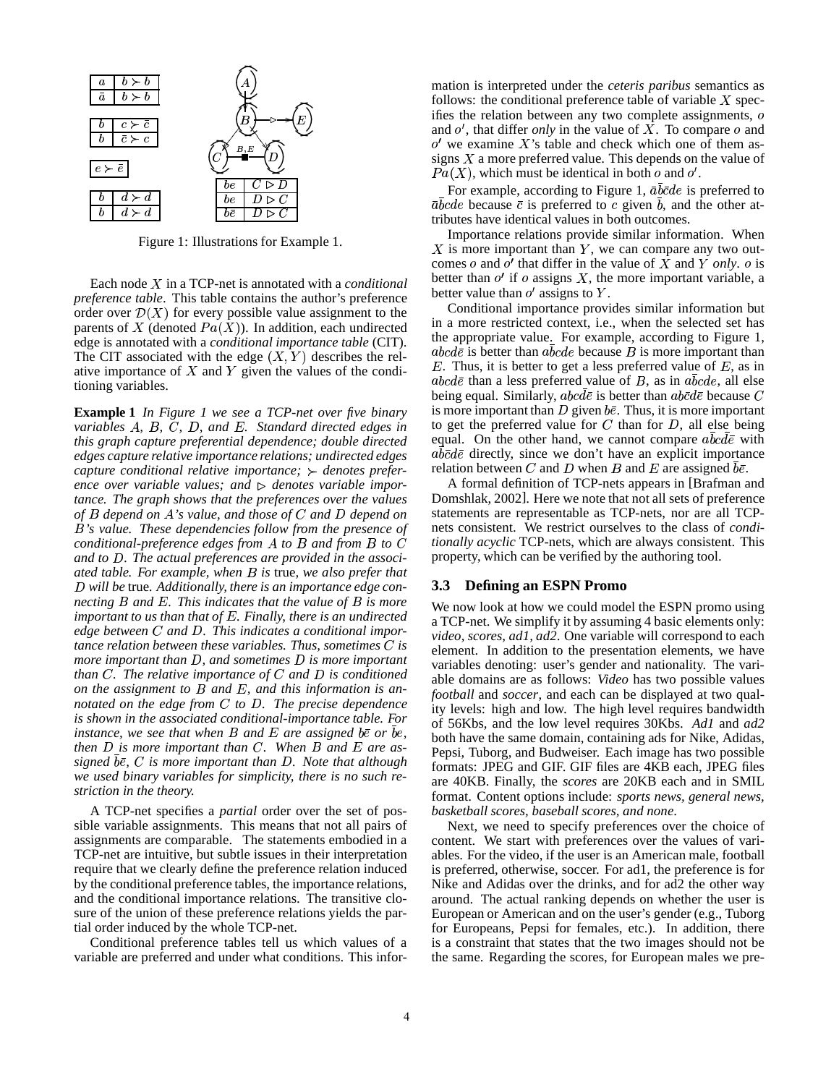

Figure 1: Illustrations for Example 1.

Each node X in a TCP-net is annotated with a *conditional preference table*. This table contains the author's preference order over  $\mathcal{D}(X)$  for every possible value assignment to the parents of X (denoted  $Pa(X)$ ). In addition, each undirected edge is annotated with a *conditional importance table* (CIT). The CIT associated with the edge  $(X, Y)$  describes the relative importance of  $X$  and  $Y$  given the values of the conditioning variables.

**Example 1** *In Figure 1 we see a TCP-net over five binary variables A*, *B*, *C*, *D*, and *E*. Standard directed edges in *this graph capture preferential dependence; double directed edges capture relative importance relations; undirected edges capture conditional relative importance;*  $\rightarrow$  *denotes prefer*ence over variable values; and  $\triangleright$  denotes variable impor*tance. The graph shows that the preferences over the values of depend on 's value, and those of and depend on 's value. These dependencies follow from the presence of conditional-preference edges from A* to *B* and from *B* to *C* and to D. The actual preferences are provided in the associ*ated table. For example, when is* true*, we also prefer that will be* true*. Additionally, there is an importance edge connecting B* and *E*. This indicates that the value of *B* is more *important to us than that of . Finally, there is an undirected* edge between C and D. This indicates a conditional impor*tance relation between these variables. Thus, sometimes is more important than D, and sometimes D is more important than*  $C$ . The relative importance of  $C$  and  $D$  is conditioned *on the assignment to B and E, and this information is annotated on the edge from C to D. The precise dependence is shown in the associated conditional-importance table. For instance, we see that when B* and *E* are assigned be or be,  $\overrightarrow{b}$  bot *then*  $D$  *is more important than*  $C$ *. When*  $B$  *and*  $E$  *are assigned , is more important than . Note that although we used binary variables for simplicity, there is no such restriction in the theory.*

A TCP-net specifies a *partial* order over the set of possible variable assignments. This means that not all pairs of assignments are comparable. The statements embodied in a TCP-net are intuitive, but subtle issues in their interpretation require that we clearly define the preference relation induced by the conditional preference tables, the importance relations, and the conditional importance relations. The transitive closure of the union of these preference relations yields the partial order induced by the whole TCP-net.

Conditional preference tables tell us which values of a variable are preferred and under what conditions. This information is interpreted under the *ceteris paribus* semantics as follows: the conditional preference table of variable  $X$  specifies the relation between any two complete assignments, o and  $o'$ , that differ *only* in the value of  $\overline{X}$ . To compare  $o$  and  $o'$  we examine X's table and check which one of them assigns  $X$  a more preferred value. This depends on the value of  $Pa(X)$ , which must be identical in both  $o$  and  $o'$ .

For example, according to Figure 1,  $\bar{a}b\bar{c}de$  is preferred to  $\bar{a}bcde$  because  $\bar{c}$  is preferred to c given b, and the other attributes have identical values in both outcomes.

Importance relations provide similar information. When  $X$  is more important than  $Y$ , we can compare any two outcomes o and  $o'$  that differ in the value of X and Y only, o is better than  $o'$  if  $o$  assigns  $X$ , the more important variable, a better value than  $o'$  assigns to  $Y$ .

Conditional importance provides similar information but in a more restricted context, i.e., when the selected set has the appropriate value. For example, according to Figure 1,  $abc d\bar{e}$  is better than  $abcde$  because  $B$  is more important than  $E$ . Thus, it is better to get a less preferred value of  $E$ , as in  $abc d\bar{e}$  than a less preferred value of  $B$ , as in  $abcde$ , all else being equal. Similarly,  $abc d\bar{e}$  is better than  $ab\bar{e}d\bar{e}$  because  $C$ is more important than D given  $b\bar{e}$ . Thus, it is more important to get the preferred value for  $C$  than for  $D$ , all else being equal. On the other hand, we cannot compare  $abcd\bar{e}$  with  $ab\bar{c}d\bar{e}$  directly, since we don't have an explicit importance relation between C and D when B and E are assigned  $b\bar{e}$ .

A formal definition of TCP-nets appears in [Brafman and Domshlak, 2002]. Here we note that not all sets of preference statements are representable as TCP-nets, nor are all TCPnets consistent. We restrict ourselves to the class of *conditionally acyclic* TCP-nets, which are always consistent. This property, which can be verified by the authoring tool.

#### **3.3 Defining an ESPN Promo**

 $b^{\theta}$ , both have the same domain, containing ads for Nike, Adidas, We now look at how we could model the ESPN promo using a TCP-net. We simplify it by assuming 4 basic elements only: *video, scores, ad1, ad2*. One variable will correspond to each element. In addition to the presentation elements, we have variables denoting: user's gender and nationality. The variable domains are as follows: *Video* has two possible values *football* and *soccer*, and each can be displayed at two quality levels: high and low. The high level requires bandwidth of 56Kbs, and the low level requires 30Kbs. *Ad1* and *ad2* Pepsi, Tuborg, and Budweiser. Each image has two possible formats: JPEG and GIF. GIF files are 4KB each, JPEG files are 40KB. Finally, the *scores* are 20KB each and in SMIL format. Content options include: *sports news, general news, basketball scores, baseball scores, and none*.

> Next, we need to specify preferences over the choice of content. We start with preferences over the values of variables. For the video, if the user is an American male, football is preferred, otherwise, soccer. For ad1, the preference is for Nike and Adidas over the drinks, and for ad2 the other way around. The actual ranking depends on whether the user is European or American and on the user's gender (e.g., Tuborg for Europeans, Pepsi for females, etc.). In addition, there is a constraint that states that the two images should not be the same. Regarding the scores, for European males we pre-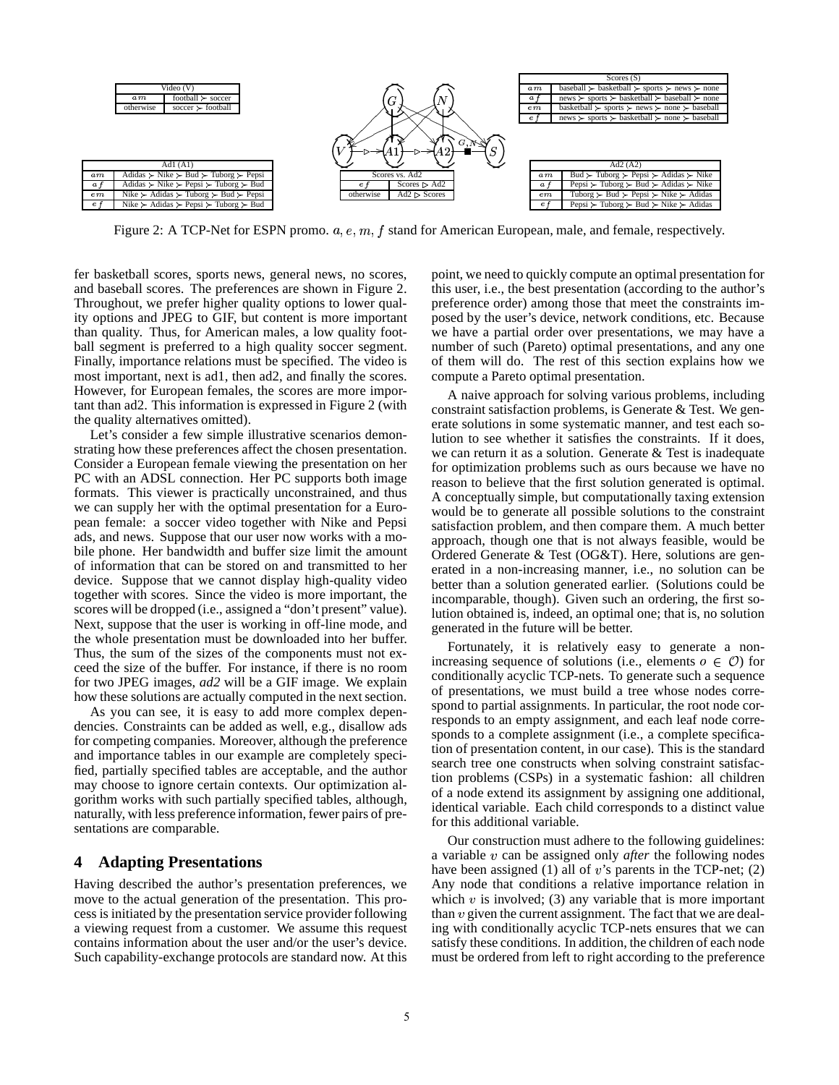

Figure 2: A TCP-Net for ESPN promo.  $a, e, m, f$  stand for American European, male, and female, respectively.

fer basketball scores, sports news, general news, no scores, and baseball scores. The preferences are shown in Figure 2. Throughout, we prefer higher quality options to lower quality options and JPEG to GIF, but content is more important than quality. Thus, for American males, a low quality football segment is preferred to a high quality soccer segment. Finally, importance relations must be specified. The video is most important, next is ad1, then ad2, and finally the scores. However, for European females, the scores are more important than ad2. This information is expressed in Figure 2 (with the quality alternatives omitted).

Let's consider a few simple illustrative scenarios demonstrating how these preferences affect the chosen presentation. Consider a European female viewing the presentation on her PC with an ADSL connection. Her PC supports both image formats. This viewer is practically unconstrained, and thus we can supply her with the optimal presentation for a European female: a soccer video together with Nike and Pepsi ads, and news. Suppose that our user now works with a mobile phone. Her bandwidth and buffer size limit the amount of information that can be stored on and transmitted to her device. Suppose that we cannot display high-quality video together with scores. Since the video is more important, the scores will be dropped (i.e., assigned a "don't present" value). Next, suppose that the user is working in off-line mode, and the whole presentation must be downloaded into her buffer. Thus, the sum of the sizes of the components must not exceed the size of the buffer. For instance, if there is no room for two JPEG images, *ad2* will be a GIF image. We explain how these solutions are actually computed in the next section.

As you can see, it is easy to add more complex dependencies. Constraints can be added as well, e.g., disallow ads for competing companies. Moreover, although the preference and importance tables in our example are completely specified, partially specified tables are acceptable, and the author may choose to ignore certain contexts. Our optimization algorithm works with such partially specified tables, although, naturally, with less preference information, fewer pairs of presentations are comparable.

# **4 Adapting Presentations**

Having described the author's presentation preferences, we move to the actual generation of the presentation. This process is initiated by the presentation service provider following a viewing request from a customer. We assume this request contains information about the user and/or the user's device. Such capability-exchange protocols are standard now. At this point, we need to quickly compute an optimal presentation for this user, i.e., the best presentation (according to the author's preference order) among those that meet the constraints imposed by the user's device, network conditions, etc. Because we have a partial order over presentations, we may have a number of such (Pareto) optimal presentations, and any one of them will do. The rest of this section explains how we compute a Pareto optimal presentation.

A naive approach for solving various problems, including constraint satisfaction problems, is Generate & Test. We generate solutions in some systematic manner, and test each solution to see whether it satisfies the constraints. If it does, we can return it as a solution. Generate & Test is inadequate for optimization problems such as ours because we have no reason to believe that the first solution generated is optimal. A conceptually simple, but computationally taxing extension would be to generate all possible solutions to the constraint satisfaction problem, and then compare them. A much better approach, though one that is not always feasible, would be Ordered Generate & Test (OG&T). Here, solutions are generated in a non-increasing manner, i.e., no solution can be better than a solution generated earlier. (Solutions could be incomparable, though). Given such an ordering, the first solution obtained is, indeed, an optimal one; that is, no solution generated in the future will be better.

Fortunately, it is relatively easy to generate a nonincreasing sequence of solutions (i.e., elements  $o \in \mathcal{O}$ ) for conditionally acyclic TCP-nets. To generate such a sequence of presentations, we must build a tree whose nodes correspond to partial assignments. In particular, the root node corresponds to an empty assignment, and each leaf node corresponds to a complete assignment (i.e., a complete specification of presentation content, in our case). This is the standard search tree one constructs when solving constraint satisfaction problems (CSPs) in a systematic fashion: all children of a node extend its assignment by assigning one additional, identical variable. Each child corresponds to a distinct value for this additional variable.

Our construction must adhere to the following guidelines: a variable *v* can be assigned only *after* the following nodes have been assigned (1) all of  $v$ 's parents in the TCP-net; (2) Any node that conditions a relative importance relation in which  $v$  is involved; (3) any variable that is more important than  $v$  given the current assignment. The fact that we are dealing with conditionally acyclic TCP-nets ensures that we can satisfy these conditions. In addition, the children of each node must be ordered from left to right according to the preference